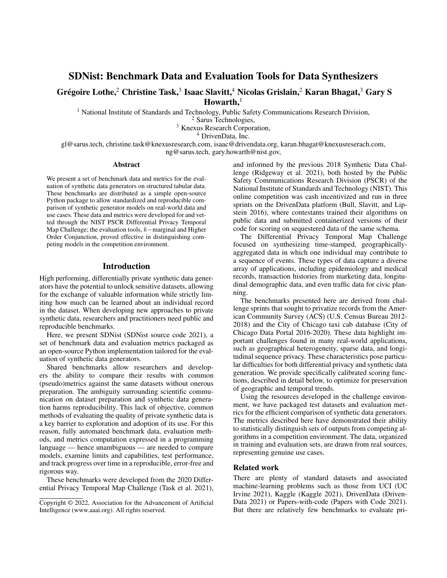# SDNist: Benchmark Data and Evaluation Tools for Data Synthesizers

# Grégoire Lothe, $^2$  Christine Task, $^3$  Isaac Slavitt, $^4$  Nicolas Grislain, $^2$  Karan Bhagat, $^3$  Gary S  $Howarth.<sup>1</sup>$

<sup>1</sup> National Institute of Standards and Technology, Public Safety Communications Research Division,

<sup>2</sup> Sarus Technologies,

<sup>3</sup> Knexus Research Corporation,

<sup>4</sup> DrivenData, Inc.

gl@sarus.tech, christine.task@knexusresearch.com, isaac@drivendata.org, karan.bhagat@knexusreserach.com,

ng@sarus.tech, gary.howarth@nist.gov,

#### Abstract

We present a set of benchmark data and metrics for the evaluation of synthetic data generators on structured tabular data. These benchmarks are distributed as a simple open-source Python package to allow standardized and reproducible comparison of synthetic generator models on real-world data and use cases. These data and metrics were developed for and vetted through the NIST PSCR Differential Privacy Temporal Map Challenge; the evaluation tools, k–marginal and Higher Order Conjunction, proved effective in distinguishing competing models in the competition environment.

## Introduction

High performing, differentially private synthetic data generators have the potential to unlock sensitive datasets, allowing for the exchange of valuable information while strictly limiting how much can be learned about an individual record in the dataset. When developing new approaches to private synthetic data, researchers and practitioners need public and reproducible benchmarks.

Here, we present SDNist (SDNist source code 2021), a set of benchmark data and evaluation metrics packaged as an open-source Python implementation tailored for the evaluation of synthetic data generators.

Shared benchmarks allow researchers and developers the ability to compare their results with common (pseudo)metrics against the same datasets without onerous preparation. The ambiguity surrounding scientific communication on dataset preparation and synthetic data generation harms reproducibility. This lack of objective, common methods of evaluating the quality of private synthetic data is a key barrier to exploration and adoption of its use. For this reason, fully automated benchmark data, evaluation methods, and metrics computation expressed in a programming language — hence unambiguous — are needed to compare models, examine limits and capabilities, test performance, and track progress over time in a reproducible, error-free and rigorous way.

These benchmarks were developed from the 2020 Differential Privacy Temporal Map Challenge (Task et al. 2021), and informed by the previous 2018 Synthetic Data Challenge (Ridgeway et al. 2021), both hosted by the Public Safety Communications Research Division (PSCR) of the National Institute of Standards and Technology (NIST). This online competition was cash incentivized and run in three sprints on the DrivenData platform (Bull, Slavitt, and Lipstein 2016), where contestants trained their algorithms on public data and submitted containerized versions of their code for scoring on sequestered data of the same schema.

The Differential Privacy Temporal Map Challenge focused on synthesizing time-stamped, geographicallyaggregated data in which one individual may contribute to a sequence of events. These types of data capture a diverse array of applications, including epidemiology and medical records, transaction histories from marketing data, longitudinal demographic data, and even traffic data for civic planning.

The benchmarks presented here are derived from challenge sprints that sought to privatize records from the American Community Survey (ACS) (U.S. Census Bureau 2012- 2018) and the City of Chicago taxi cab database (City of Chicago Data Portal 2016-2020). These data highlight important challenges found in many real-world applications, such as geographical heterogeneity, sparse data, and longitudinal sequence privacy. These characteristics pose particular difficulties for both differential privacy and synthetic data generation. We provide specifically calibrated scoring functions, described in detail below, to optimize for preservation of geographic and temporal trends.

Using the resources developed in the challenge environment, we have packaged test datasets and evaluation metrics for the efficient comparison of synthetic data generators. The metrics described here have demonstrated their ability to statistically distinguish sets of outputs from competing algorithms in a competition environment. The data, organized in training and evaluation sets, are drawn from real sources, representing genuine use cases.

### Related work

There are plenty of standard datasets and associated machine-learning problems such as those from UCI (UC Irvine 2021), Kaggle (Kaggle 2021), DrivenData (Driven-Data 2021) or Papers-with-code (Papers with Code 2021). But there are relatively few benchmarks to evaluate pri-

Copyright © 2022, Association for the Advancement of Artificial Intelligence (www.aaai.org). All rights reserved.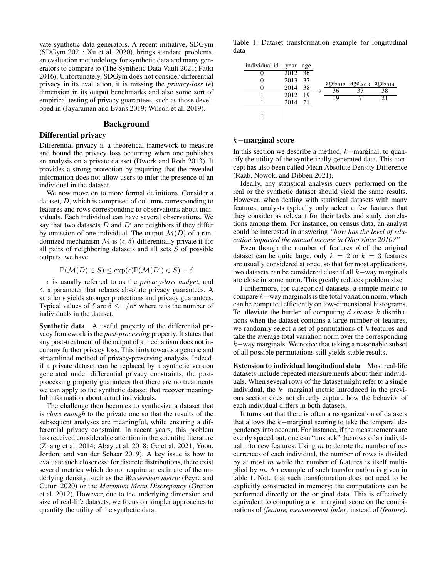vate synthetic data generators. A recent initiative, SDGym (SDGym 2021; Xu et al. 2020), brings standard problems, an evaluation methodology for synthetic data and many generators to compare to (The Synthetic Data Vault 2021; Patki 2016). Unfortunately, SDGym does not consider differential privacy in its evaluation, it is missing the *privacy-loss*  $(\epsilon)$ dimension in its output benchmarks and also some sort of empirical testing of privacy guarantees, such as those developed in (Jayaraman and Evans 2019; Wilson et al. 2019).

## Background

### Differential privacy

Differential privacy is a theoretical framework to measure and bound the privacy loss occurring when one publishes an analysis on a private dataset (Dwork and Roth 2013). It provides a strong protection by requiring that the revealed information does not allow users to infer the presence of an individual in the dataset.

We now move on to more formal definitions. Consider a dataset, D, which is comprised of columns corresponding to features and rows corresponding to observations about individuals. Each individual can have several observations. We say that two datasets  $D$  and  $D'$  are neighbors if they differ by omission of one individual. The output  $\mathcal{M}(D)$  of a randomized mechanism  $\mathcal M$  is  $(\epsilon, \delta)$ -differentially private if for all pairs of neighboring datasets and all sets  $S$  of possible outputs, we have

$$
\mathbb{P}(\mathcal{M}(D) \in S) \le \exp(\epsilon)\mathbb{P}(\mathcal{M}(D') \in S) + \delta
$$

 $\epsilon$  is usually referred to as the *privacy-loss budget*, and  $\delta$ , a parameter that relaxes absolute privacy guarantees. A smaller  $\epsilon$  yields stronger protections and privacy guarantees. Typical values of  $\delta$  are  $\delta \leq 1/n^2$  where n is the number of individuals in the dataset.

Synthetic data A useful property of the differential privacy framework is the *post-processing* property. It states that any post-treatment of the output of a mechanism does not incur any further privacy loss. This hints towards a generic and streamlined method of privacy-preserving analysis. Indeed, if a private dataset can be replaced by a synthetic version generated under differential privacy constraints, the postprocessing property guarantees that there are no treatments we can apply to the synthetic dataset that recover meaningful information about actual individuals.

The challenge then becomes to synthesize a dataset that is *close enough* to the private one so that the results of the subsequent analyses are meaningful, while ensuring a differential privacy constraint. In recent years, this problem has received considerable attention in the scientific literature (Zhang et al. 2014; Abay et al. 2018; Ge et al. 2021; Yoon, Jordon, and van der Schaar 2019). A key issue is how to evaluate such closeness: for discrete distributions, there exist several metrics which do not require an estimate of the underlying density, such as the *Wasserstein metric* (Peyre and ´ Cuturi 2020) or the *Maximum Mean Discrepancy* (Gretton et al. 2012). However, due to the underlying dimension and size of real-life datasets, we focus on simpler approaches to quantify the utility of the synthetic data.

Table 1: Dataset transformation example for longitudinal data



### k−marginal score

In this section we describe a method, k−marginal, to quantify the utility of the synthetically generated data. This concept has also been called Mean Absolute Density Difference (Raab, Nowok, and Dibben 2021).

Ideally, any statistical analysis query performed on the real or the synthetic dataset should yield the same results. However, when dealing with statistical datasets with many features, analysts typically only select a few features that they consider as relevant for their tasks and study correlations among them. For instance, on census data, an analyst could be interested in answering *"how has the level of education impacted the annual income in Ohio since 2010?"*

Even though the number of features  $d$  of the original dataset can be quite large, only  $k = 2$  or  $k = 3$  features are usually considered at once, so that for most applications, two datasets can be considered close if all k−way marginals are close in some norm. This greatly reduces problem size.

Furthermore, for categorical datasets, a simple metric to compare  $k$  – way marginals is the total variation norm, which can be computed efficiently on low-dimensional histograms. To alleviate the burden of computing d *choose* k distributions when the dataset contains a large number of features, we randomly select a set of permutations of  $k$  features and take the average total variation norm over the corresponding  $k$ −way marginals. We notice that taking a reasonable subset of all possible permutations still yields stable results.

Extension to individual longitudinal data Most real-life datasets include repeated measurements about their individuals. When several rows of the dataset might refer to a single individual, the k−marginal metric introduced in the previous section does not directly capture how the behavior of each individual differs in both datasets.

It turns out that there is often a reorganization of datasets that allows the k−marginal scoring to take the temporal dependency into account. For instance, if the measurements are evenly spaced out, one can "unstack" the rows of an individual into new features. Using  $m$  to denote the number of occurrences of each individual, the number of rows is divided by at most  $m$  while the number of features is itself multiplied by  $m$ . An example of such transformation is given in table 1. Note that such transformation does not need to be explicitly constructed in memory: the computations can be performed directly on the original data. This is effectively equivalent to computing a  $k$ −marginal score on the combinations of *(feature, measurement index)* instead of *(feature)*.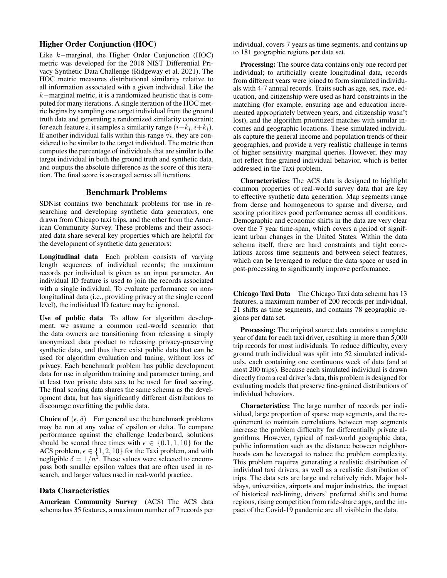## Higher Order Conjunction (HOC)

Like k−marginal, the Higher Order Conjunction (HOC) metric was developed for the 2018 NIST Differential Privacy Synthetic Data Challenge (Ridgeway et al. 2021). The HOC metric measures distributional similarity relative to all information associated with a given individual. Like the k−marginal metric, it is a randomized heuristic that is computed for many iterations. A single iteration of the HOC metric begins by sampling one target individual from the ground truth data and generating a randomized similarity constraint; for each feature *i*, it samples a similarity range  $(i - k_i, i + k_i)$ . If another individual falls within this range  $\forall i$ , they are considered to be similar to the target individual. The metric then computes the percentage of individuals that are similar to the target individual in both the ground truth and synthetic data, and outputs the absolute difference as the score of this iteration. The final score is averaged across all iterations.

# Benchmark Problems

SDNist contains two benchmark problems for use in researching and developing synthetic data generators, one drawn from Chicago taxi trips, and the other from the American Community Survey. These problems and their associated data share several key properties which are helpful for the development of synthetic data generators:

Longitudinal data Each problem consists of varying length sequences of individual records; the maximum records per individual is given as an input parameter. An individual ID feature is used to join the records associated with a single individual. To evaluate performance on nonlongitudinal data (i.e., providing privacy at the single record level), the individual ID feature may be ignored.

Use of public data To allow for algorithm development, we assume a common real-world scenario: that the data owners are transitioning from releasing a simply anonymized data product to releasing privacy-preserving synthetic data, and thus there exist public data that can be used for algorithm evaluation and tuning, without loss of privacy. Each benchmark problem has public development data for use in algorithm training and parameter tuning, and at least two private data sets to be used for final scoring. The final scoring data shares the same schema as the development data, but has significantly different distributions to discourage overfitting the public data.

**Choice of**  $(\epsilon, \delta)$  For general use the benchmark problems may be run at any value of epsilon or delta. To compare performance against the challenge leaderboard, solutions should be scored three times with  $\epsilon \in \{0.1, 1, 10\}$  for the ACS problem,  $\epsilon \in \{1, 2, 10\}$  for the Taxi problem, and with negligible  $\delta = 1/n^2$ . These values were selected to encompass both smaller epsilon values that are often used in research, and larger values used in real-world practice.

### Data Characteristics

American Community Survey (ACS) The ACS data schema has 35 features, a maximum number of 7 records per

individual, covers 7 years as time segments, and contains up to 181 geographic regions per data set.

Processing: The source data contains only one record per individual; to artificially create longitudinal data, records from different years were joined to form simulated individuals with 4-7 annual records. Traits such as age, sex, race, education, and citizenship were used as hard constraints in the matching (for example, ensuring age and education incremented appropriately between years, and citizenship wasn't lost), and the algorithm prioritized matches with similar incomes and geographic locations. These simulated individuals capture the general income and population trends of their geographies, and provide a very realistic challenge in terms of higher sensitivity marginal queries. However, they may not reflect fine-grained individual behavior, which is better addressed in the Taxi problem.

Characteristics: The ACS data is designed to highlight common properties of real-world survey data that are key to effective synthetic data generation. Map segments range from dense and homogeneous to sparse and diverse, and scoring prioritizes good performance across all conditions. Demographic and economic shifts in the data are very clear over the 7 year time-span, which covers a period of significant urban changes in the United States. Within the data schema itself, there are hard constraints and tight correlations across time segments and between select features, which can be leveraged to reduce the data space or used in post-processing to significantly improve performance.

Chicago Taxi Data The Chicago Taxi data schema has 13 features, a maximum number of 200 records per individual, 21 shifts as time segments, and contains 78 geographic regions per data set.

Processing: The original source data contains a complete year of data for each taxi driver, resulting in more than 5,000 trip records for most individuals. To reduce difficulty, every ground truth individual was split into 52 simulated individuals, each containing one continuous week of data (and at most 200 trips). Because each simulated individual is drawn directly from a real driver's data, this problem is designed for evaluating models that preserve fine-grained distributions of individual behaviors.

Characteristics: The large number of records per individual, large proportion of sparse map segments, and the requirement to maintain correlations between map segments increase the problem difficulty for differentially private algorithms. However, typical of real-world geographic data, public information such as the distance between neighborhoods can be leveraged to reduce the problem complexity. This problem requires generating a realistic distribution of individual taxi drivers, as well as a realistic distribution of trips. The data sets are large and relatively rich. Major holidays, universities, airports and major industries, the impact of historical red-lining, drivers' preferred shifts and home regions, rising competition from ride-share apps, and the impact of the Covid-19 pandemic are all visible in the data.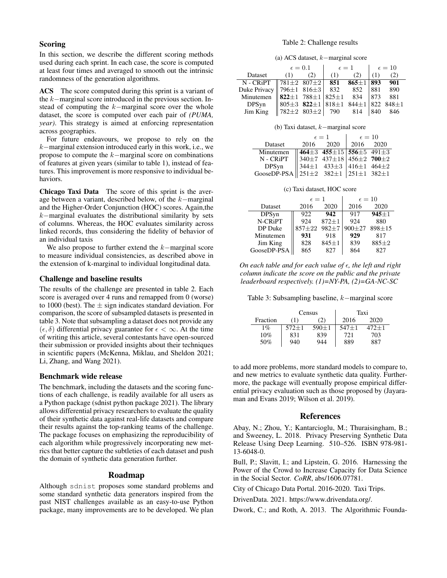## Scoring

In this section, we describe the different scoring methods used during each sprint. In each case, the score is computed at least four times and averaged to smooth out the intrinsic randomness of the generation algorithms.

ACS The score computed during this sprint is a variant of the k−marginal score introduced in the previous section. Instead of computing the k−marginal score over the whole dataset, the score is computed over each pair of *(PUMA, year)*. This strategy is aimed at enforcing representation across geographies.

For future endeavours, we propose to rely on the k−marginal extension introduced early in this work, i.e., we propose to compute the k−marginal score on combinations of features at given years (similar to table 1), instead of features. This improvement is more responsive to individual behaviors.

Chicago Taxi Data The score of this sprint is the average between a variant, described below, of the k−marginal and the Higher-Order Conjunction (HOC) scores. Again,the k−marginal evaluates the distributional similarity by sets of columns. Whereas, the HOC evaluates similarity across linked records, thus considering the fidelity of behavior of an individual taxis

We also propose to further extend the k−marginal score to measure individual consistencies, as described above in the extension of k-marginal to individual longitudinal data.

### Challenge and baseline results

The results of the challenge are presented in table 2. Each score is averaged over 4 runs and remapped from 0 (worse) to 1000 (best). The  $\pm$  sign indicates standard deviation. For comparison, the score of subsampled datasets is presented in table 3. Note that subsampling a dataset does not provide any  $(\epsilon, \delta)$  differential privacy guarantee for  $\epsilon < \infty$ . At the time of writing this article, several contestants have open-sourced their submission or provided insights about their techniques in scientific papers (McKenna, Miklau, and Sheldon 2021; Li, Zhang, and Wang 2021).

### Benchmark wide release

The benchmark, including the datasets and the scoring functions of each challenge, is readily available for all users as a Python package (sdnist python package 2021). The library allows differential privacy researchers to evaluate the quality of their synthetic data against real-life datasets and compare their results against the top-ranking teams of the challenge. The package focuses on emphasizing the reproducibility of each algorithm while progressively incorporating new metrics that better capture the subtleties of each dataset and push the domain of synthetic data generation further.

### Roadmap

Although sdnist proposes some standard problems and some standard synthetic data generators inspired from the past NIST challenges available as an easy-to-use Python package, many improvements are to be developed. We plan

#### Table 2: Challenge results

(a) ACS dataset, k−marginal score

|                                                                                                                                | $\epsilon=0.1$ |     | $\epsilon=1$ |     | $\epsilon = 10$ |       |
|--------------------------------------------------------------------------------------------------------------------------------|----------------|-----|--------------|-----|-----------------|-------|
| Dataset                                                                                                                        | (1)            | (2) | (1)          | (2) | (1)             | (2)   |
| N - CRiPT   781±2 807±2   851 865±1 893                                                                                        |                |     |              |     |                 | - 901 |
|                                                                                                                                |                |     |              |     |                 |       |
|                                                                                                                                |                |     |              |     |                 |       |
| Duke Privacy 796±1 816±3 832 852 881 890<br>Minutemen 822±1 788±1 825±1 834 873 881<br>DPSyn 805±3 822±1 818±1 844±1 822 848±1 |                |     |              |     |                 |       |
| Jim King $\  782 \pm 2 \ 803 \pm 2 \ 790$ 814                                                                                  |                |     |              |     | 840             | - 846 |

(b) Taxi dataset, k−marginal score

|                                                              | $\epsilon=1$ |                                                                                                                                                                                                           | $\epsilon = 10$ |  |  |
|--------------------------------------------------------------|--------------|-----------------------------------------------------------------------------------------------------------------------------------------------------------------------------------------------------------|-----------------|--|--|
| Dataset                                                      |              | 2016 2020                                                                                                                                                                                                 | 2016 2020       |  |  |
| Minutemen                                                    |              | $\begin{array}{ l l l l } \hline 464 \pm 3 & 455 \pm 15 & 556 \pm 5 & 491 \pm 3 \\ 340 \pm 7 & 437 \pm 18 & 456 \pm 2 & 700 \pm 2 \\ 344 \pm 1 & 433 \pm 3 & 416 \pm 1 & 464 \pm 2 \\ \hline \end{array}$ |                 |  |  |
| N - CRiPT                                                    |              |                                                                                                                                                                                                           |                 |  |  |
| DPSyn                                                        |              |                                                                                                                                                                                                           |                 |  |  |
| GooseDP-PSA $\ 251\pm 2$ 382 $\pm 1$ 251 $\pm 1$ 382 $\pm 1$ |              |                                                                                                                                                                                                           |                 |  |  |

(c) Taxi dataset, HOC score

|             | $\epsilon=1$ |             | $\epsilon = 10$ |            |
|-------------|--------------|-------------|-----------------|------------|
| Dataset     | 2016         | 2020        | 2016            | 2020       |
| DPSyn       | 922          | 942         | 917             | $945 + 1$  |
| N-CRiPT     | 924          | $872 + 1$   | 924             | 880        |
| DP Duke     | $857 + 22$   | $982 + 7$   | $900 + 27$      | $898 + 15$ |
| Minutemen   | 931          | 918         | 929             | 817        |
| Jim King    | 828          | $845 \pm 1$ | 839             | $885 + 2$  |
| GooseDP-PSA | 865          | 827         | 864             | 827        |

*On each table and for each value of ∈, the left and right column indicate the score on the public and the private leaderboard respectively. (1)=NY-PA, (2)=GA-NC-SC*

Table 3: Subsampling baseline, k−marginal score

|          |             | Census      | Taxi      |       |  |
|----------|-------------|-------------|-----------|-------|--|
| Fraction | (1)         | (2)         | 2016      | 2020  |  |
| $1\%$    | $572 \pm 1$ | $590 \pm 1$ | $547 + 1$ | 472+1 |  |
| 10%      | 831         | 839         | 721       | 703   |  |
| 50%      | 940         | 944         | 889       | 887   |  |

to add more problems, more standard models to compare to, and new metrics to evaluate synthetic data quality. Furthermore, the package will eventually propose empirical differential privacy evaluation such as those proposed by (Jayaraman and Evans 2019; Wilson et al. 2019).

### References

Abay, N.; Zhou, Y.; Kantarcioglu, M.; Thuraisingham, B.; and Sweeney, L. 2018. Privacy Preserving Synthetic Data Release Using Deep Learning. 510–526. ISBN 978-981- 13-6048-0.

Bull, P.; Slavitt, I.; and Lipstein, G. 2016. Harnessing the Power of the Crowd to Increase Capacity for Data Science in the Social Sector. *CoRR*, abs/1606.07781.

City of Chicago Data Portal. 2016-2020. Taxi Trips.

DrivenData. 2021. https://www.drivendata.org/.

Dwork, C.; and Roth, A. 2013. The Algorithmic Founda-